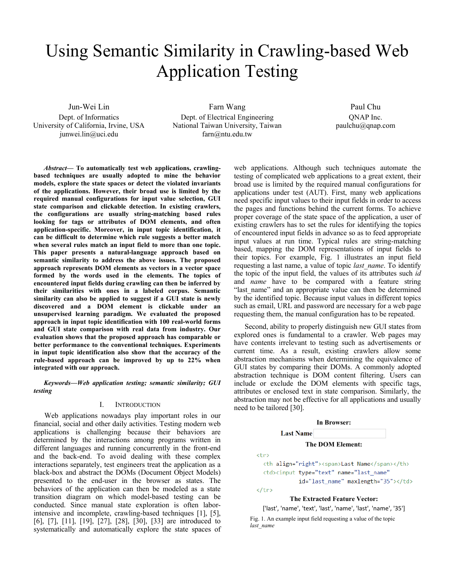# Using Semantic Similarity in Crawling-based Web Application Testing

Jun-Wei Lin

Dept. of Informatics University of California, Irvine, USA junwei.lin@uci.edu

Farn Wang Dept. of Electrical Engineering National Taiwan University, Taiwan farn@ntu.edu.tw

Paul Chu QNAP Inc. paulchu@qnap.com

*Abstract***— To automatically test web applications, crawlingbased techniques are usually adopted to mine the behavior models, explore the state spaces or detect the violated invariants of the applications. However, their broad use is limited by the required manual configurations for input value selection, GUI state comparison and clickable detection. In existing crawlers, the configurations are usually string-matching based rules looking for tags or attributes of DOM elements, and often application-specific. Moreover, in input topic identification, it can be difficult to determine which rule suggests a better match when several rules match an input field to more than one topic. This paper presents a natural-language approach based on semantic similarity to address the above issues. The proposed approach represents DOM elements as vectors in a vector space formed by the words used in the elements. The topics of encountered input fields during crawling can then be inferred by their similarities with ones in a labeled corpus. Semantic similarity can also be applied to suggest if a GUI state is newly discovered and a DOM element is clickable under an unsupervised learning paradigm. We evaluated the proposed approach in input topic identification with 100 real-world forms and GUI state comparison with real data from industry. Our evaluation shows that the proposed approach has comparable or better performance to the conventional techniques. Experiments in input topic identification also show that the accuracy of the rule-based approach can be improved by up to 22% when integrated with our approach.**

*Keywords—Web application testing; semantic similarity; GUI testing* 

#### I. INTRODUCTION

Web applications nowadays play important roles in our financial, social and other daily activities. Testing modern web applications is challenging because their behaviors are determined by the interactions among programs written in different languages and running concurrently in the front-end and the back-end. To avoid dealing with these complex interactions separately, test engineers treat the application as a black-box and abstract the DOMs (Document Object Models) presented to the end-user in the browser as states. The behaviors of the application can then be modeled as a state transition diagram on which model-based testing can be conducted. Since manual state exploration is often laborintensive and incomplete, crawling-based techniques [1], [5], [6], [7], [11], [19], [27], [28], [30], [33] are introduced to systematically and automatically explore the state spaces of web applications. Although such techniques automate the testing of complicated web applications to a great extent, their broad use is limited by the required manual configurations for applications under test (AUT). First, many web applications need specific input values to their input fields in order to access the pages and functions behind the current forms. To achieve proper coverage of the state space of the application, a user of existing crawlers has to set the rules for identifying the topics of encountered input fields in advance so as to feed appropriate input values at run time. Typical rules are string-matching based, mapping the DOM representations of input fields to their topics. For example, Fig. 1 illustrates an input field requesting a last name, a value of topic *last\_name*. To identify the topic of the input field, the values of its attributes such *id* and *name* have to be compared with a feature string "last name" and an appropriate value can then be determined by the identified topic. Because input values in different topics such as email, URL and password are necessary for a web page requesting them, the manual configuration has to be repeated.

 Second, ability to properly distinguish new GUI states from explored ones is fundamental to a crawler. Web pages may have contents irrelevant to testing such as advertisements or current time. As a result, existing crawlers allow some abstraction mechanisms when determining the equivalence of GUI states by comparing their DOMs. A commonly adopted abstraction technique is DOM content filtering. Users can include or exclude the DOM elements with specific tags, attributes or enclosed text in state comparison. Similarly, the abstraction may not be effective for all applications and usually need to be tailored [30].



Fig. 1. An example input field requesting a value of the topic *last\_name*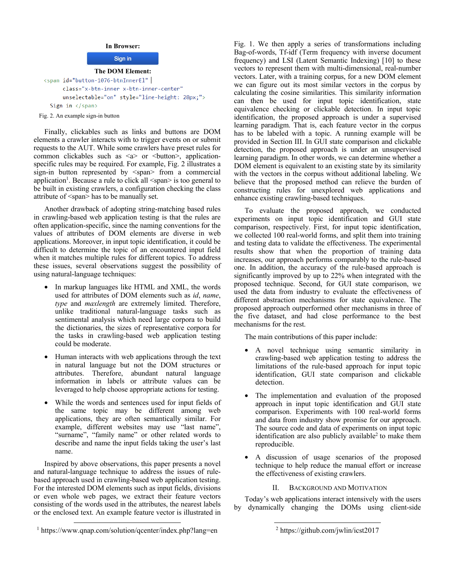

# Sign in **The DOM Element:**  <span id="button-1076-btnInnerEl" class="x-btn-inner x-btn-inner-center" unselectable="on" style="line-height: 28px;"> Sign in </span>

Fig. 2. An example sign-in button

Finally, clickables such as links and buttons are DOM elements a crawler interacts with to trigger events on or submit requests to the AUT. While some crawlers have preset rules for common clickables such as  $\leq a$  or  $\leq$ button populationspecific rules may be required. For example, Fig. 2 illustrates a sign-in button represented by  $\langle$ span $\rangle$  from a commercial application<sup>1</sup>. Because a rule to click all  $\le$ span $>$  is too general to be built in existing crawlers, a configuration checking the class attribute of <span> has to be manually set.

Another drawback of adopting string-matching based rules in crawling-based web application testing is that the rules are often application-specific, since the naming conventions for the values of attributes of DOM elements are diverse in web applications. Moreover, in input topic identification, it could be difficult to determine the topic of an encountered input field when it matches multiple rules for different topics. To address these issues, several observations suggest the possibility of using natural-language techniques:

- In markup languages like HTML and XML, the words used for attributes of DOM elements such as *id*, *name*, *type* and *maxlength* are extremely limited. Therefore, unlike traditional natural-language tasks such as sentimental analysis which need large corpora to build the dictionaries, the sizes of representative corpora for the tasks in crawling-based web application testing could be moderate.
- Human interacts with web applications through the text in natural language but not the DOM structures or attributes. Therefore, abundant natural language information in labels or attribute values can be leveraged to help choose appropriate actions for testing.
- While the words and sentences used for input fields of the same topic may be different among web applications, they are often semantically similar. For example, different websites may use "last name", "surname", "family name" or other related words to describe and name the input fields taking the user's last name.

Inspired by above observations, this paper presents a novel and natural-language technique to address the issues of rulebased approach used in crawling-based web application testing. For the interested DOM elements such as input fields, divisions or even whole web pages, we extract their feature vectors consisting of the words used in the attributes, the nearest labels or the enclosed text. An example feature vector is illustrated in Fig. 1. We then apply a series of transformations including Bag-of-words, Tf-idf (Term frequency with inverse document frequency) and LSI (Latent Semantic Indexing) [10] to these vectors to represent them with multi-dimensional, real-number vectors. Later, with a training corpus, for a new DOM element we can figure out its most similar vectors in the corpus by calculating the cosine similarities. This similarity information can then be used for input topic identification, state equivalence checking or clickable detection. In input topic identification, the proposed approach is under a supervised learning paradigm. That is, each feature vector in the corpus has to be labeled with a topic. A running example will be provided in Section III. In GUI state comparison and clickable detection, the proposed approach is under an unsupervised learning paradigm. In other words, we can determine whether a DOM element is equivalent to an existing state by its similarity with the vectors in the corpus without additional labeling. We believe that the proposed method can relieve the burden of constructing rules for unexplored web applications and enhance existing crawling-based techniques.

To evaluate the proposed approach, we conducted experiments on input topic identification and GUI state comparison, respectively. First, for input topic identification, we collected 100 real-world forms, and split them into training and testing data to validate the effectiveness. The experimental results show that when the proportion of training data increases, our approach performs comparably to the rule-based one. In addition, the accuracy of the rule-based approach is significantly improved by up to 22% when integrated with the proposed technique. Second, for GUI state comparison, we used the data from industry to evaluate the effectiveness of different abstraction mechanisms for state equivalence. The proposed approach outperformed other mechanisms in three of the five dataset, and had close performance to the best mechanisms for the rest.

The main contributions of this paper include:

- A novel technique using semantic similarity in crawling-based web application testing to address the limitations of the rule-based approach for input topic identification, GUI state comparison and clickable detection.
- The implementation and evaluation of the proposed approach in input topic identification and GUI state comparison. Experiments with 100 real-world forms and data from industry show promise for our approach. The source code and data of experiments on input topic identification are also publicly available<sup>2</sup> to make them reproducible.
- A discussion of usage scenarios of the proposed technique to help reduce the manual effort or increase the effectiveness of existing crawlers.

II. BACKGROUND AND MOTIVATION

Today's web applications interact intensively with the users by dynamically changing the DOMs using client-side

-

<sup>2</sup> https://github.com/jwlin/icst2017

<sup>&</sup>lt;sup>1</sup> https://www.qnap.com/solution/qcenter/index.php?lang=en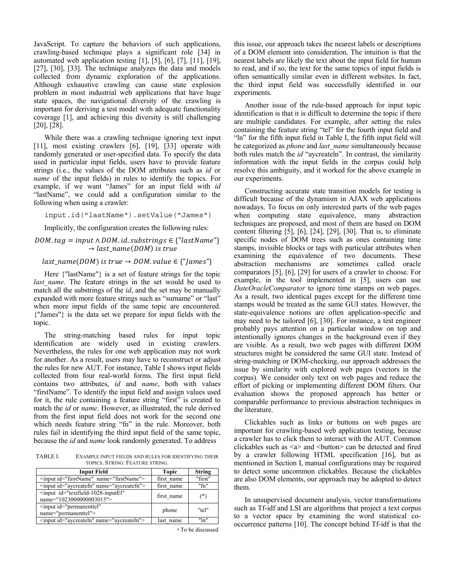JavaScript. To capture the behaviors of such applications, crawling-based technique plays a significant role [34] in automated web application testing  $[1]$ ,  $[5]$ ,  $[6]$ ,  $[7]$ ,  $[11]$ ,  $[19]$ , [27], [30], [33]. The technique analyzes the data and models collected from dynamic exploration of the applications. Although exhaustive crawling can cause state explosion problem in most industrial web applications that have huge state spaces, the navigational diversity of the crawling is important for deriving a test model with adequate functionality coverage [1], and achieving this diversity is still challenging [20], [28].

While there was a crawling technique ignoring text input [11], most existing crawlers [6], [19], [33] operate with randomly generated or user-specified data. To specify the data used in particular input fields, users have to provide feature strings (i.e., the values of the DOM attributes such as *id* or *name* of the input fields) in rules to identify the topics. For example, if we want "James" for an input field with *id* "lastName", we could add a configuration similar to the following when using a crawler:

input.id("lastName").setValue("James")

Implicitly, the configuration creates the following rules:

# $DOM.tag = input \land DOM.id.substrings \in \{``lastName"\}$  $\rightarrow$  last\_name(DOM) is true

# $last\_name(DOM)$  is true  $\rightarrow$  DOM. value  $\in$  {"James"}

Here {"lastName"} is a set of feature strings for the topic *last name*. The feature strings in the set would be used to match all the substrings of the *id*, and the set may be manually expanded with more feature strings such as "surname" or "last" when more input fields of the same topic are encountered. {"James"} is the data set we prepare for input fields with the topic.

The string-matching based rules for input topic identification are widely used in existing crawlers. Nevertheless, the rules for one web application may not work for another. As a result, users may have to reconstruct or adjust the rules for new AUT. For instance, Table I shows input fields collected from four real-world forms. The first input field contains two attributes, *id* and *name*, both with values "firstName". To identify the input field and assign values used for it, the rule containing a feature string "first" is created to match the *id* or *name*. However, as illustrated, the rule derived from the first input field does not work for the second one which needs feature string "fn" in the rule. Moreover, both rules fail in identifying the third input field of the same topic, because the *id* and *name* look randomly generated. To address

TABLE I. EXAMPLE INPUT FIELDS AND RULES FOR IDENTIFYING THEIR TOPICS. STRING: FEATURE STRING.

| <b>Input Field</b>                                                                            | <b>Topic</b> | <b>String</b> |
|-----------------------------------------------------------------------------------------------|--------------|---------------|
| <input id="firstName" name="firstName"/>                                                      | first name   | "first"       |
| <input id="aycreatefn" name="aycreatefn"/>                                                    | first name   | "fn"          |
| <input <="" id="textfield-1028-inputEl" td=""/> <td>first name</td> <td><math>(*)</math></td> | first name   | $(*)$         |
| name="1023000000003015">                                                                      |              |               |
| <input <="" id="permanenttel" td=""/> <td>phone</td> <td>"tel"</td>                           | phone        | "tel"         |
| name="permanenttel">                                                                          |              |               |
| <input id="aycreateln" name="aycreateln"/>                                                    | last name    | "ln"          |

\* To be discussed

this issue, our approach takes the nearest labels or descriptions of a DOM element into consideration. The intuition is that the nearest labels are likely the text about the input field for human to read, and if so, the text for the same topics of input fields is often semantically similar even in different websites. In fact, the third input field was successfully identified in our experiments.

Another issue of the rule-based approach for input topic identification is that it is difficult to determine the topic if there are multiple candidates. For example, after setting the rules containing the feature string "tel" for the fourth input field and "ln" for the fifth input field in Table I, the fifth input field will be categorized as *phone* and *last\_name* simultaneously because both rules match the *id* "aycreateln". In contrast, the similarity information with the input fields in the corpus could help resolve this ambiguity, and it worked for the above example in our experiments.

Constructing accurate state transition models for testing is difficult because of the dynamism in AJAX web applications nowadays. To focus on only interested parts of the web pages when computing state equivalence, many abstraction techniques are proposed, and most of them are based on DOM content filtering [5], [6], [24], [29], [30]. That is, to eliminate specific nodes of DOM trees such as ones containing time stamps, invisible blocks or tags with particular attributes when examining the equivalence of two documents. These abstraction mechanisms are sometimes called oracle comparators [5], [6], [29] for users of a crawler to choose. For example, in the tool implemented in [5], users can use *DateOracleComparator* to ignore time stamps on web pages. As a result, two identical pages except for the different time stamps would be treated as the same GUI states. However, the state-equivalence notions are often application-specific and may need to be tailored [6], [30]. For instance, a test engineer probably pays attention on a particular window on top and intentionally ignores changes in the background even if they are visible. As a result, two web pages with different DOM structures might be considered the same GUI state. Instead of string-matching or DOM-checking, our approach addresses the issue by similarity with explored web pages (vectors in the corpus). We consider only text on web pages and reduce the effort of picking or implementing different DOM filters. Our evaluation shows the proposed approach has better or comparable performance to previous abstraction techniques in the literature.

 Clickables such as links or buttons on web pages are important for crawling-based web application testing, because a crawler has to click them to interact with the AUT. Common clickables such as  $\leq a$  and  $\leq b$ utton and be detected and fired by a crawler following HTML specification [16], but as mentioned in Section I, manual configurations may be required to detect some uncommon clickables. Because the clickables are also DOM elements, our approach may be adopted to detect them.

 In unsupervised document analysis, vector transformations such as Tf-idf and LSI are algorithms that project a text corpus to a vector space by examining the word statistical cooccurrence patterns [10]. The concept behind Tf-idf is that the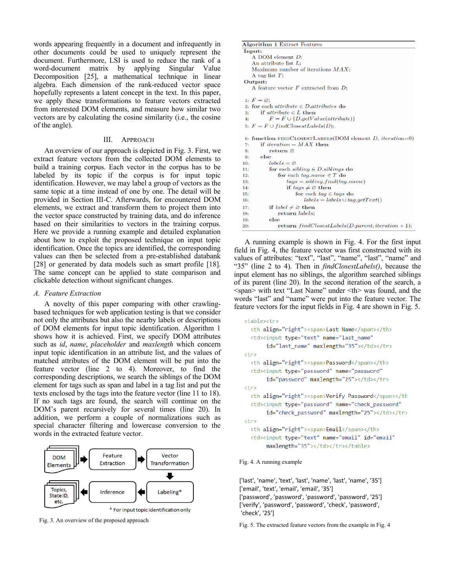words appearing frequently in a document and infrequently in other documents could be used to uniquely represent the document. Furthermore, LSI is used to reduce the rank of a word-document matrix by applying Singular Value Decomposition [25], a mathematical technique in linear algebra. Each dimension of the rank-reduced vector space hopefully represents a latent concept in the text. In this paper, we apply these transformations to feature vectors extracted from interested DOM elements, and measure how similar two vectors are by calculating the cosine similarity (i.e., the cosine of the angle).

## III. APPROACH

An overview of our approach is depicted in Fig. 3. First, we extract feature vectors from the collected DOM elements to build a training corpus. Each vector in the corpus has to be labeled by its topic if the corpus is for input topic identification. However, we may label a group of vectors as the same topic at a time instead of one by one. The detail will be provided in Section III-C. Afterwards, for encountered DOM elements, we extract and transform them to project them into the vector space constructed by training data, and do inference based on their similarities to vectors in the training corpus. Here we provide a running example and detailed explanation about how to exploit the proposed technique on input topic identification. Once the topics are identified, the corresponding values can then be selected from a pre-established databank [28] or generated by data models such as smart profile [18]. The same concept can be applied to state comparison and clickable detection without significant changes.

#### *A. Feature Extraction*

 A novelty of this paper comparing with other crawlingbased techniques for web application testing is that we consider not only the attributes but also the nearby labels or descriptions of DOM elements for input topic identification. Algorithm 1 shows how it is achieved. First, we specify DOM attributes such as *id*, *name*, *placeholder* and *maxlength* which concern input topic identification in an attribute list, and the values of matched attributes of the DOM element will be put into the feature vector (line 2 to 4). Moreover, to find the corresponding descriptions, we search the siblings of the DOM element for tags such as span and label in a tag list and put the texts enclosed by the tags into the feature vector (line 11 to 18). If no such tags are found, the search will continue on the DOM's parent recursively for several times (line 20). In addition, we perform a couple of normalizations such as special character filtering and lowercase conversion to the words in the extracted feature vector.



Fig. 3. An overview of the proposed approach

```
Algorithm 1 Extract Features
Input:
    A DOM element D;
    An attribute list L;
    Maximum number of iterations MAX;A tag list T;
Output:
    A feature vector F extracted from D;
1: F = \varnothing:
2: for each attribute \in D. attributes do
3:if attribute \in L then
4<sup>5</sup>F = F \cup \{D.getValue(attribute)\}5: F = F \cup findClosestLabels(D);6: function FINDCLOSESTLABELS(DOM element D, iteration=0)
       if iteration = MAX then
7:return \varnothing\overline{8}9:else
           labels = \emptyset10<sub>i</sub>for each sibling \in D siblings do
11:for each taq_name \in T do
12:tags = sibling.find(tag_name)13<sub>1</sub>if \text{tags} \neq \emptyset then
14:15<sub>i</sub>for each tag \in tags do
16:labels = labels \cup tag.getText()17:if label \neq \emptyset then
18<sub>i</sub>return labels;
19:else
               return findClosestLabels(D.parent, iteration + 1);20:
```
 A running example is shown in Fig. 4. For the first input field in Fig. 4, the feature vector was first constructed with its values of attributes: "text", "last", "name", "last", "name" and "35" (line 2 to 4). Then in *findClosestLabels()*, because the input element has no siblings, the algorithm searched siblings of its parent (line 20). In the second iteration of the search, a  $\epsilon$ span> with text "Last Name" under  $\epsilon$ th> was found, and the words "last" and "name" were put into the feature vector. The feature vectors for the input fields in Fig. 4 are shown in Fig. 5.

```
<table><tr>
  <th align="right"><span>Last Name</span></th>
  <td><input type="text" name="last name"
       id="last_name" maxlength="35"></td></tr>
<tr>
  <th align="right"><span>Password</span></th>
  <td><input type="password" name="password"
       id="password" maxlength="25"></td></tr>
<tr>
  <th align="right"><span>Verify Password</span></th
  <td><input type="password" name="check_password"
       id="check_password" maxlength="25"></td></tr>
<tr>
  <th align="right"><span>Email</span></th>
  <td><input type="text" name="email" id="email"
       maxlength="35"></td></tr></table>
```
#### Fig. 4. A running example

['last', 'name', 'text', 'last', 'name', 'last', 'name', '35'] ['email', 'text', 'email', 'email', '35'] ['password', 'password', 'password', 'password', '25'] ['verify', 'password', 'password', 'check', 'password', 'check', '25']

Fig. 5. The extracted feature vectors from the example in Fig. 4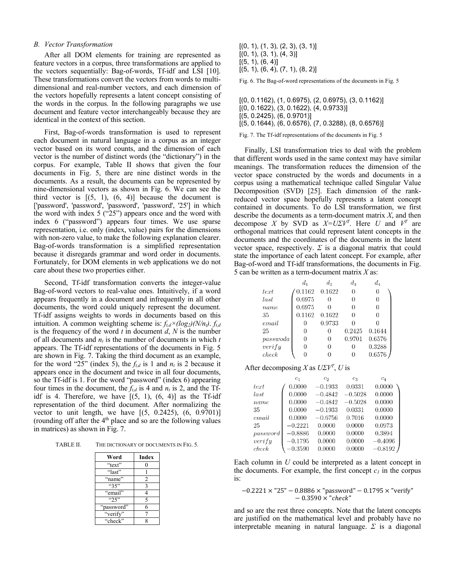# *B. Vector Transformation*

After all DOM elements for training are represented as feature vectors in a corpus, three transformations are applied to the vectors sequentially: Bag-of-words, Tf-idf and LSI [10]. These transformations convert the vectors from words to multidimensional and real-number vectors, and each dimension of the vectors hopefully represents a latent concept consisting of the words in the corpus. In the following paragraphs we use document and feature vector interchangeably because they are identical in the context of this section.

First, Bag-of-words transformation is used to represent each document in natural language in a corpus as an integer vector based on its word counts, and the dimension of each vector is the number of distinct words (the "dictionary") in the corpus. For example, Table II shows that given the four documents in Fig. 5, there are nine distinct words in the documents. As a result, the documents can be represented by nine-dimensional vectors as shown in Fig. 6. We can see the third vector is  $[(5, 1), (6, 4)]$  because the document is ['password', 'password', 'password', 'password', '25'] in which the word with index 5 ("25") appears once and the word with index 6 ("password") appears four times. We use sparse representation, i.e. only (index, value) pairs for the dimensions with non-zero value, to make the following explanation clearer. Bag-of-words transformation is a simplified representation because it disregards grammar and word order in documents. Fortunately, for DOM elements in web applications we do not care about these two properties either.

 Second, Tf-idf transformation converts the integer-value Bag-of-word vectors to real-value ones. Intuitively, if a word appears frequently in a document and infrequently in all other documents, the word could uniquely represent the document. Tf-idf assigns weights to words in documents based on this intuition. A common weighting scheme is:  $f_{td} \times (log_2)(N/n_t)$ .  $f_{td}$ is the frequency of the word *t* in document *d*, *N* is the number of all documents and  $n_t$  is the number of documents in which  $t$ appears. The Tf-idf representations of the documents in Fig. 5 are shown in Fig. 7. Taking the third document as an example, for the word "25" (index 5), the  $f_{t,d}$  is 1 and  $n_t$  is 2 because it appears once in the document and twice in all four documents, so the Tf-idf is 1. For the word "password" (index 6) appearing four times in the document, the  $f_{t,d}$  is 4 and  $n_t$  is 2, and the Tfidf is 4. Therefore, we have  $[(5, 1), (6, 4)]$  as the Tf-idf representation of the third document. After normalizing the vector to unit length, we have [(5, 0.2425), (6, 0.9701)] (rounding off after the 4th place and so are the following values in matrices) as shown in Fig. 7.

TABLE II. THE DICTIONARY OF DOCUMENTS IN FIG. 5.

| Word       | Index |
|------------|-------|
| "text"     | 0     |
| "last"     |       |
| "name"     | 2     |
| 435"       | 3     |
| "email"    | 4     |
| "25"       | 5     |
| "password" | 6     |
| "verify"   | 7     |
| "check"    | χ     |

 $[(0, 1), (1, 3), (2, 3), (3, 1)]$  $[(0, 1), (3, 1), (4, 3)]$  $[(5, 1), (6, 4)]$  $[(5, 1), (6, 4), (7, 1), (8, 2)]$ 

Fig. 6. The Bag-of-word representations of the documents in Fig. 5

[(0, 0.1162), (1, 0.6975), (2, 0.6975), (3, 0.1162)] [(0, 0.1622), (3, 0.1622), (4, 0.9733)] [(5, 0.2425), (6, 0.9701)] [(5, 0.1644), (6, 0.6576), (7, 0.3288), (8, 0.6576)]

Fig. 7. The Tf-idf representations of the documents in Fig. 5

Finally, LSI transformation tries to deal with the problem that different words used in the same context may have similar meanings. The transformation reduces the dimension of the vector space constructed by the words and documents in a corpus using a mathematical technique called Singular Value Decomposition (SVD) [25]. Each dimension of the rankreduced vector space hopefully represents a latent concept contained in documents. To do LSI transformation, we first describe the documents as a term-document matrix *X*, and then decompose *X* by SVD as  $X = U\Sigma V^T$ . Here *U* and  $V^T$  are orthogonal matrices that could represent latent concepts in the documents and the coordinates of the documents in the latent vector space, respectively.  $\Sigma$  is a diagonal matrix that could state the importance of each latent concept. For example, after Bag-of-word and Tf-idf transformations, the documents in Fig. 5 can be written as a term-document matrix *X* as:

|          | d1            | $d_2$  | $d_3$    | $d_4$  |
|----------|---------------|--------|----------|--------|
| text     | 0.1162 0.1622 |        | $\Omega$ |        |
| last     | 0.6975        |        |          |        |
| name     | 0.6975        |        |          |        |
| 35       | 0.1162        | 0.1622 | Ω        |        |
| email    |               | 0.9733 |          |        |
| 25       |               |        | 0.2425   | 0.1644 |
| passwoda |               |        | 0.9701   | 0.6576 |
| verify   |               |        |          | 0.3288 |
| check    |               |        |          | 0.6576 |

After decomposing *X* as *UΣVT*, *U* is

|          | c <sub>1</sub> | c <sub>2</sub> | $c_3$     | $C_4$       |
|----------|----------------|----------------|-----------|-------------|
| text     | 0.0000         | $-0.1933$      | 0.0331    | 0.0000      |
| last     | 0.0000         | $-0.4842$      | $-0.5028$ | 0.0000      |
| name     | 0.0000         | $-0.4842$      | $-0.5028$ | 0.0000      |
| 35       | 0.0000         | $-0.1933$      | 0.0331    | 0.0000      |
| email    | 0.0000         | $-0.6756$      | 0.7016    | 0.0000      |
| 25       | $-0.2221$      | 0.0000         | 0.0000    | 0.0973      |
| password | $-0.8886$      | 0.0000         | 0.0000    | 0.3894      |
| verify   | $-0.1795$      | 0.0000         | 0.0000    | $-0.4096$   |
| check    | $-0.3590$      | 0.0000         | 0.0000    | $-0.8192$ / |

Each column in *U* could be interpreted as a latent concept in the documents. For example, the first concept  $c_l$  in the corpus is:

$$
-0.2221 \times "25" - 0.8886 \times "password" - 0.1795 \times "verify"
$$
  
- 0.3590 \times "check"

and so are the rest three concepts. Note that the latent concepts are justified on the mathematical level and probably have no interpretable meaning in natural language.  $\Sigma$  is a diagonal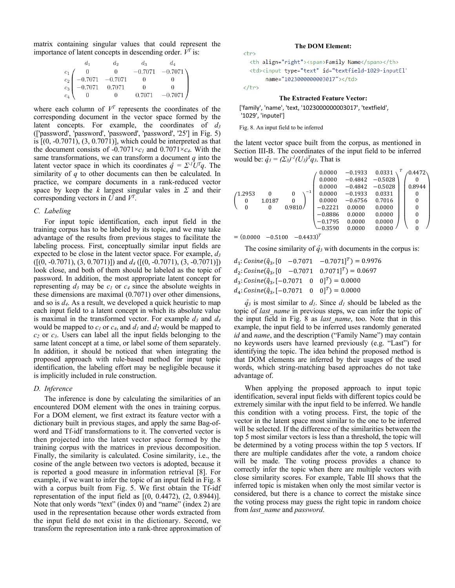matrix containing singular values that could represent the importance of latent concepts in descending order. *VT* is:

|       | $d_1$                                                                                                                      | $d_2$ | $d_3$ | $d_4$               |
|-------|----------------------------------------------------------------------------------------------------------------------------|-------|-------|---------------------|
|       |                                                                                                                            |       |       | $-0.7071$ $-0.7071$ |
|       | $\begin{array}{c} c_1 \ c_2 \ c_3 \end{array} \begin{array}{ccc} 0 & 0 \ -0.7071 & -0.7071 \ -0.7071 & 0.7071 \end{array}$ |       |       |                     |
| $c_3$ |                                                                                                                            |       |       |                     |
|       |                                                                                                                            |       |       | $0.7071 - 0.7071$   |

where each column of  $V^T$  represents the coordinates of the corresponding document in the vector space formed by the latent concepts. For example, the coordinates of *d3* (['password', 'password', 'password', 'password', '25'] in Fig. 5) is  $[(0, -0.7071), (3, 0.7071)]$ , which could be interpreted as that the document consists of  $-0.7071 \times c_1$  and  $0.7071 \times c_4$ . With the same transformations, we can transform a document  $q$  into the latent vector space in which its coordinates  $\hat{q} = \Sigma^{T} U^{T} q$ . The similarity of *q* to other documents can then be calculated. In practice, we compare documents in a rank-reduced vector space by keep the *k* largest singular vales in  $\Sigma$  and their corresponding vectors in *U* and *VT*.

#### *C. Labeling*

For input topic identification, each input field in the training corpus has to be labeled by its topic, and we may take advantage of the results from previous stages to facilitate the labeling process. First, conceptually similar input fields are expected to be close in the latent vector space. For example, *d3* ([(0, -0.7071), (3, 0.7071)]) and *d4* ([(0, -0.7071), (3, -0.7071)]) look close, and both of them should be labeled as the topic of password. In addition, the most appropriate latent concept for representing  $d_3$  may be  $c_1$  or  $c_4$  since the absolute weights in these dimensions are maximal (0.7071) over other dimensions, and so is *d4*. As a result, we developed a quick heuristic to map each input field to a latent concept in which its absolute value is maximal in the transformed vector. For example  $d_3$  and  $d_4$ would be mapped to  $c_1$  or  $c_4$ , and  $d_1$  and  $d_2$  would be mapped to *c2* or *c3*. Users can label all the input fields belonging to the same latent concept at a time, or label some of them separately. In addition, it should be noticed that when integrating the proposed approach with rule-based method for input topic identification, the labeling effort may be negligible because it is implicitly included in rule construction.

## *D. Inference*

 The inference is done by calculating the similarities of an encountered DOM element with the ones in training corpus. For a DOM element, we first extract its feature vector with a dictionary built in previous stages, and apply the same Bag-ofword and Tf-idf transformations to it. The converted vector is then projected into the latent vector space formed by the training corpus with the matrices in previous decomposition. Finally, the similarity is calculated. Cosine similarity, i.e., the cosine of the angle between two vectors is adopted, because it is reported a good measure in information retrieval [8]. For example, if we want to infer the topic of an input field in Fig. 8 with a corpus built from Fig. 5. We first obtain the Tf-idf representation of the input field as  $[(0, 0.4472), (2, 0.8944)].$ Note that only words "text" (index 0) and "name" (index 2) are used in the representation because other words extracted from the input field do not exist in the dictionary. Second, we transform the representation into a rank-three approximation of **The DOM Element:** 

# <th align="right"><span>Family Name</span></th> <td><input type="text" id="textfield-1029-inputEl' name="1023000000003017"></td>

 $\langle$ /tr>

 $\langle$ tr>

#### **The Extracted Feature Vector:**

['family', 'name', 'text, '1023000000003017', 'textfield', '1029', 'inputel']

Fig. 8. An input field to be inferred

the latent vector space built from the corpus, as mentioned in Section III-B. The coordinates of the input field to be inferred would be:  $\hat{q}_3 = (\Sigma_3)^{-1} (U_3)^T q_3$ . That is

|          |        |         |         | 0.0000    | $-0.1933$ | 0.0331    | (0.4472)     |  |
|----------|--------|---------|---------|-----------|-----------|-----------|--------------|--|
|          |        |         |         | 0.0000    | $-0.4842$ | $-0.5028$ |              |  |
|          |        |         |         | 0.0000    | $-0.4842$ | $-0.5028$ | 0.8944       |  |
| /1.2953  | 0      | 0       | -1      | 0.0000    | $-0.1933$ | 0.0331    | 0            |  |
| 0        | 1.0187 | 0       |         | 0.0000    | $-0.6756$ | 0.7016    | 0            |  |
| $\Omega$ | 0      | 0.9810/ |         | $-0.2221$ | 0.0000    | 0.0000    | $\mathbf{0}$ |  |
|          |        |         |         | $-0.8886$ | 0.0000    | 0.0000    | $\mathbf{0}$ |  |
|          |        |         |         | $-0.1795$ | 0.0000    | 0.0000    | 0            |  |
|          |        |         |         | $-0.3590$ | 0.0000    | 0.0000    | 0            |  |
| (0.0000) | 0.5100 |         | 0.4422T |           |           |           |              |  |

 $= (0.0000 -0.5100 -0.4433)$ 

The cosine similarity of  $\hat{q}_3$  with documents in the corpus is:

| $d_1$ : Cosine( $\hat{q}_3$ , [0 -0.7071 -0.7071] <sup>T</sup> ) = 0.9976 |  |
|---------------------------------------------------------------------------|--|
| $d_2$ : Cosine( $\hat{q}_3$ , [0 -0.7071 0.7071] <sup>T</sup> ) = 0.0697  |  |
| $d_3$ : Cosine( $\hat{q}_3$ , [-0.7071 0 0] <sup>T</sup> ) = 0.0000       |  |
| $d_4$ : Cosine( $\hat{q}_3$ , [-0.7071 0 0] <sup>T</sup> ) = 0.0000       |  |

 $\hat{q}_3$  is most similar to  $d_1$ . Since  $d_1$  should be labeled as the topic of *last\_name* in previous steps, we can infer the topic of the input field in Fig. 8 as *last\_name*, too. Note that in this example, the input field to be inferred uses randomly generated *id* and *name*, and the description ("Family Name") may contain no keywords users have learned previously (e.g. "Last") for identifying the topic. The idea behind the proposed method is that DOM elements are inferred by their usages of the used words, which string-matching based approaches do not take advantage of.

 When applying the proposed approach to input topic identification, several input fields with different topics could be extremely similar with the input field to be inferred. We handle this condition with a voting process. First, the topic of the vector in the latent space most similar to the one to be inferred will be selected. If the difference of the similarities between the top 5 most similar vectors is less than a threshold, the topic will be determined by a voting process within the top 5 vectors. If there are multiple candidates after the vote, a random choice will be made. The voting process provides a chance to correctly infer the topic when there are multiple vectors with close similarity scores. For example, Table III shows that the inferred topic is mistaken when only the most similar vector is considered, but there is a chance to correct the mistake since the voting process may guess the right topic in random choice from *last\_name* and *password*.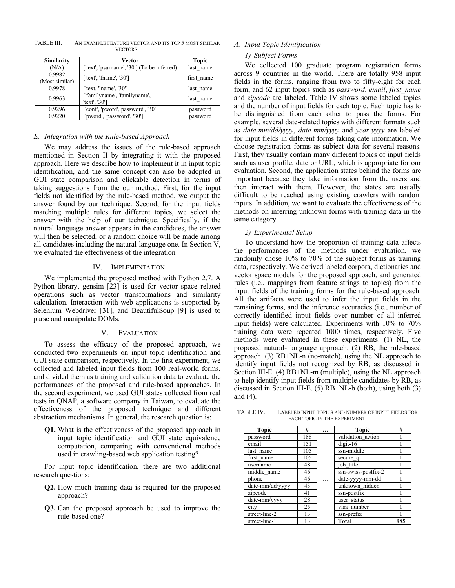| Similarity               | Vector                                        | <b>Topic</b> |
|--------------------------|-----------------------------------------------|--------------|
| (N/A)                    | ['text', 'psurname', '30'] (To be inferred)   | last name    |
| 0.9982<br>(Most similar) | ['text', 'fname', '30']                       | first name   |
| 0.9978                   | ['text, 'lname', '30']                        | last name    |
| 0.9963                   | ['familyname', 'familyname',<br>'text', '30'] | last name    |
| 0.9296                   | ['conf', 'pword', password', '30']            | password     |
| 0.9220                   | ['pword', 'password', '30']                   | password     |

TABLE III. AN EXAMPLE FEATURE VECTOR AND ITS TOP 5 MOST SIMILAR VECTORS.

## *E. Integration with the Rule-based Approach*

 We may address the issues of the rule-based approach mentioned in Section II by integrating it with the proposed approach. Here we describe how to implement it in input topic identification, and the same concept can also be adopted in GUI state comparison and clickable detection in terms of taking suggestions from the our method. First, for the input fields not identified by the rule-based method, we output the answer found by our technique. Second, for the input fields matching multiple rules for different topics, we select the answer with the help of our technique. Specifically, if the natural-language answer appears in the candidates, the answer will then be selected, or a random choice will be made among all candidates including the natural-language one. In Section V, we evaluated the effectiveness of the integration

#### IV. IMPLEMENTATION

We implemented the proposed method with Python 2.7. A Python library, gensim [23] is used for vector space related operations such as vector transformations and similarity calculation. Interaction with web applications is supported by Selenium Webdriver [31], and BeautifulSoup [9] is used to parse and manipulate DOMs.

#### V. EVALUATION

To assess the efficacy of the proposed approach, we conducted two experiments on input topic identification and GUI state comparison, respectively. In the first experiment, we collected and labeled input fields from 100 real-world forms, and divided them as training and validation data to evaluate the performances of the proposed and rule-based approaches. In the second experiment, we used GUI states collected from real tests in QNAP, a software company in Taiwan, to evaluate the effectiveness of the proposed technique and different abstraction mechanisms. In general, the research question is:

**Q1.** What is the effectiveness of the proposed approach in input topic identification and GUI state equivalence computation, comparing with conventional methods used in crawling-based web application testing?

For input topic identification, there are two additional research questions:

- **Q2.** How much training data is required for the proposed approach?
- **Q3.** Can the proposed approach be used to improve the rule-based one?

#### *A. Input Topic Identification*

#### *1) Subject Forms*

We collected 100 graduate program registration forms across 9 countries in the world. There are totally 958 input fields in the forms, ranging from two to fifty-eight for each form, and 62 input topics such as *password*, *email*, *first\_name* and *zipcode* are labeled. Table IV shows some labeled topics and the number of input fields for each topic. Each topic has to be distinguished from each other to pass the forms. For example, several date-related topics with different formats such as *date-mm/dd/yyyy*, *date-mm/yyyy* and *year-yyyy* are labeled for input fields in different forms taking date information. We choose registration forms as subject data for several reasons. First, they usually contain many different topics of input fields such as user profile, date or URL, which is appropriate for our evaluation. Second, the application states behind the forms are important because they take information from the users and then interact with them. However, the states are usually difficult to be reached using existing crawlers with random inputs. In addition, we want to evaluate the effectiveness of the methods on inferring unknown forms with training data in the same category.

#### *2) Experimental Setup*

 To understand how the proportion of training data affects the performances of the methods under evaluation, we randomly chose 10% to 70% of the subject forms as training data, respectively. We derived labeled corpora, dictionaries and vector space models for the proposed approach, and generated rules (i.e., mappings from feature strings to topics) from the input fields of the training forms for the rule-based approach. All the artifacts were used to infer the input fields in the remaining forms, and the inference accuracies (i.e., number of correctly identified input fields over number of all inferred input fields) were calculated. Experiments with 10% to 70% training data were repeated 1000 times, respectively. Five methods were evaluated in these experiments: (1) NL, the proposed natural- language approach. (2) RB, the rule-based approach. (3) RB+NL-n (no-match), using the NL approach to identify input fields not recognized by RB, as discussed in Section III-E. (4) RB+NL-m (multiple), using the NL approach to help identify input fields from multiple candidates by RB, as discussed in Section III-E. (5) RB+NL-b (both), using both (3) and (4).

TABLE IV. LABELED INPUT TOPICS AND NUMBER OF INPUT FIELDS FOR EACH TOPIC IN THE EXPERIMENT.

| <b>Topic</b>    | #   | $\cdots$ | <b>Topic</b>        | #   |
|-----------------|-----|----------|---------------------|-----|
| password        | 188 |          | validation action   |     |
| email           | 151 |          | $digit-16$          |     |
| last name       | 105 |          | ssn-middle          |     |
| first name      | 105 |          | secure q            |     |
| username        | 48  |          | job title           |     |
| middle name     | 46  |          | ssn-swiss-postfix-2 |     |
| phone           | 46  | .        | date-yyyy-mm-dd     |     |
| date-mm/dd/yyyy | 43  |          | unknown hidden      |     |
| zipcode         | 41  |          | ssn-postfix         |     |
| date-mm/yyyy    | 28  |          | user status         |     |
| city            | 25  |          | visa number         |     |
| street-line-2   | 13  |          | ssn-prefix          |     |
| street-line-1   | 13  |          | <b>Total</b>        | 985 |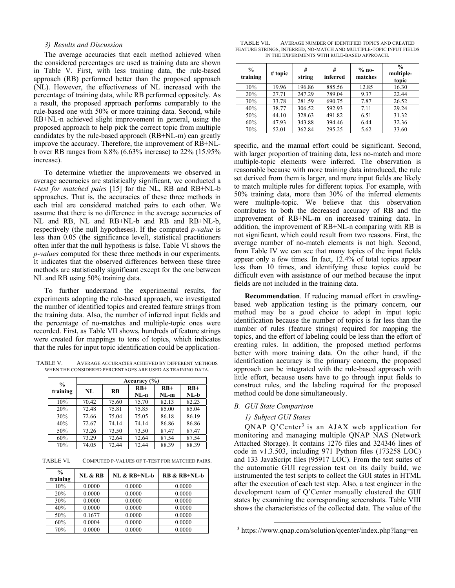## *3) Results and Discussion*

 The average accuracies that each method achieved when the considered percentages are used as training data are shown in Table V. First, with less training data, the rule-based approach (RB) performed better than the proposed approach (NL). However, the effectiveness of NL increased with the percentage of training data, while RB performed oppositely. As a result, the proposed approach performs comparably to the rule-based one with 50% or more training data. Second, while RB+NL-n achieved slight improvement in general, using the proposed approach to help pick the correct topic from multiple candidates by the rule-based approach (RB+NL-m) can greatly improve the accuracy. Therefore, the improvement of RB+NLb over RB ranges from 8.8% (6.63% increase) to 22% (15.95% increase).

To determine whether the improvements we observed in average accuracies are statistically significant, we conducted a *t-test for matched pairs* [15] for the NL, RB and RB+NL-b approaches. That is, the accuracies of these three methods in each trial are considered matched pairs to each other. We assume that there is no difference in the average accuracies of NL and RB, NL and RB+NL-b and RB and RB+NL-b, respectively (the null hypotheses). If the computed *p-value* is less than 0.05 (the significance level), statistical practitioners often infer that the null hypothesis is false. Table VI shows the *p-values* computed for these three methods in our experiments. It indicates that the observed differences between these three methods are statistically significant except for the one between NL and RB using 50% training data.

To further understand the experimental results, for experiments adopting the rule-based approach, we investigated the number of identified topics and created feature strings from the training data. Also, the number of inferred input fields and the percentage of no-matches and multiple-topic ones were recorded. First, as Table VII shows, hundreds of feature strings were created for mappings to tens of topics, which indicates that the rules for input topic identification could be application-

TABLE V. AVERAGE ACCURACIES ACHIEVED BY DIFFERENT METHODS WHEN THE CONSIDERED PERCENTAGES ARE USED AS TRAINING DATA.

| $\frac{0}{0}$ | Accuracy $(\% )$ |                |               |                 |                 |  |
|---------------|------------------|----------------|---------------|-----------------|-----------------|--|
| training      | NL               | R <sub>B</sub> | $RB+$<br>NL-n | $RB+$<br>$NL-m$ | $RB+$<br>$NL-b$ |  |
| 10%           | 70.42            | 75.60          | 75.70         | 82.13           | 82.23           |  |
| 20%           | 72.48            | 75.81          | 75.85         | 85.00           | 85.04           |  |
| 30%           | 72.66            | 75.04          | 75.05         | 86.18           | 86.19           |  |
| 40%           | 72.67            | 74.14          | 74.14         | 86.86           | 86.86           |  |
| 50%           | 73.26            | 73.50          | 73.50         | 87.47           | 87.47           |  |
| 60%           | 73.29            | 72.64          | 72.64         | 87.54           | 87.54           |  |
| 70%           | 74.05            | 72.44          | 72.44         | 88.39           | 88.39           |  |

TABLE VI. COMPUTED P-VALUES OF T-TEST FOR MATCHED PAIRS.

| $\frac{0}{0}$<br>training | <b>NL &amp; RB</b> | NL & RBANLA | RB & RB+NL-b |
|---------------------------|--------------------|-------------|--------------|
| 10%                       | 0.0000             | 0.0000      | 0.0000       |
| 20%                       | 0.0000             | 0.0000      | 0.0000       |
| 30%                       | 0.0000             | 0.0000      | 0.0000       |
| 40%                       | 0.0000             | 0.0000      | 0.0000       |
| 50%                       | 0.1677             | 0.0000      | 0.0000       |
| 60%                       | 0.0004             | 0.0000      | 0.0000       |
| 70%                       | 0.0000             | 0.0000      | 0.0000       |

TABLE VII. AVERAGE NUMBER OF IDENTIFIED TOPICS AND CREATED FEATURE STRINGS, INFERRED, NO-MATCH AND MULTIPLE-TOPIC INPUT FIELDS IN THE EXPERIMENTS WITH RULE-BASED APPROACH.

| $\frac{0}{0}$<br>training | # topic | #<br>string | #<br>inferred | $%$ no-<br>matches | $\frac{0}{0}$<br>multiple-<br>topic |
|---------------------------|---------|-------------|---------------|--------------------|-------------------------------------|
| 10%                       | 19.96   | 196.86      | 885.56        | 12.85              | 16.30                               |
| 20%                       | 27.71   | 247.29      | 789.04        | 9.37               | 22.44                               |
| 30%                       | 33.78   | 281.59      | 690.75        | 7.87               | 26.52                               |
| 40%                       | 38.77   | 306.52      | 592.93        | 7.11               | 29.24                               |
| 50%                       | 44.10   | 328.63      | 491.82        | 6.51               | 31.32                               |
| 60%                       | 47.93   | 343.88      | 394.46        | 6.44               | 32.36                               |
| 70%                       | 52.01   | 362.84      | 295.25        | 5.62               | 33.60                               |

specific, and the manual effort could be significant. Second, with larger proportion of training data, less no-match and more multiple-topic elements were inferred. The observation is reasonable because with more training data introduced, the rule set derived from them is larger, and more input fields are likely to match multiple rules for different topics. For example, with 50% training data, more than 30% of the inferred elements were multiple-topic. We believe that this observation contributes to both the decreased accuracy of RB and the improvement of RB+NL-m on increased training data. In addition, the improvement of RB+NL-n comparing with RB is not significant, which could result from two reasons. First, the average number of no-match elements is not high. Second, from Table IV we can see that many topics of the input fields appear only a few times. In fact, 12.4% of total topics appear less than 10 times, and identifying these topics could be difficult even with assistance of our method because the input fields are not included in the training data.

**Recommendation**. If reducing manual effort in crawlingbased web application testing is the primary concern, our method may be a good choice to adopt in input topic identification because the number of topics is far less than the number of rules (feature strings) required for mapping the topics, and the effort of labeling could be less than the effort of creating rules. In addition, the proposed method performs better with more training data. On the other hand, if the identification accuracy is the primary concern, the proposed approach can be integrated with the rule-based approach with little effort, because users have to go through input fields to construct rules, and the labeling required for the proposed method could be done simultaneously.

# *B. GUI State Comparison*

#### *1) Subject GUI States*

 $ONAP$  Q'Center<sup>3</sup> is an AJAX web application for monitoring and managing multiple QNAP NAS (Network Attached Storage). It contains 1276 files and 324346 lines of code in v1.3.503, including 971 Python files (173258 LOC) and 133 JavaScript files (95917 LOC). From the test suites of the automatic GUI regression test on its daily build, we instrumented the test scripts to collect the GUI states in HTML after the execution of each test step. Also, a test engineer in the development team of Q'Center manually clustered the GUI states by examining the corresponding screenshots. Table VIII shows the characteristics of the collected data. The value of the

 <sup>3</sup> https://www.qnap.com/solution/qcenter/index.php?lang=en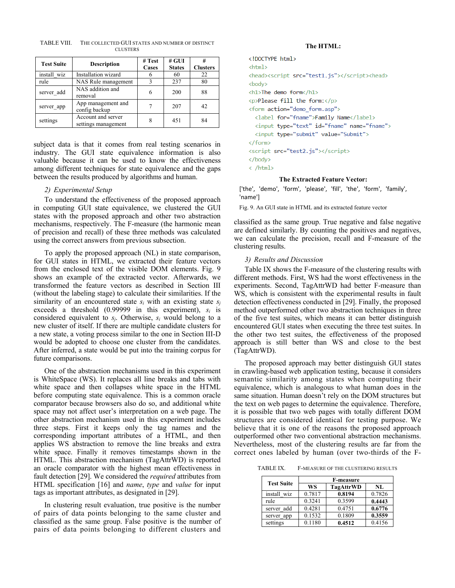CLUSTERS **Test Suite Description # Test Cases # GUI States # Clusters**  install wiz Installation wizard 6 60 22 rule NAS Rule management 3 237 80 server\_add  $\begin{array}{|c|c|c|c|c|} \hline & NASA & S48 & & 6 & 200 & 88 \\ \hline \end{array}$ server app  $\begin{array}{|c|c|} App$  management and App management and<br>
config backup<br>  $\begin{array}{|c|c|c|c|c|} \hline 7 & 207 & 42 \ \hline \end{array}$ settings Account and server settings management 8 451 84

TABLE VIII. THE COLLECTED GUI STATES AND NUMBER OF DISTINCT

subject data is that it comes from real testing scenarios in industry. The GUI state equivalence information is also valuable because it can be used to know the effectiveness among different techniques for state equivalence and the gaps between the results produced by algorithms and human.

#### *2) Experimental Setup*

To understand the effectiveness of the proposed approach in computing GUI state equivalence, we clustered the GUI states with the proposed approach and other two abstraction mechanisms, respectively. The F-measure (the harmonic mean of precision and recall) of these three methods was calculated using the correct answers from previous subsection.

To apply the proposed approach (NL) in state comparison, for GUI states in HTML, we extracted their feature vectors from the enclosed text of the visible DOM elements. Fig. 9 shows an example of the extracted vector. Afterwards, we transformed the feature vectors as described in Section III (without the labeling stage) to calculate their similarities. If the similarity of an encountered state  $s_i$  with an existing state  $s_i$ exceeds a threshold (0.99999 in this experiment), *si* is considered equivalent to *sj*. Otherwise, *si* would belong to a new cluster of itself. If there are multiple candidate clusters for a new state, a voting process similar to the one in Section III-D would be adopted to choose one cluster from the candidates. After inferred, a state would be put into the training corpus for future comparisons.

 One of the abstraction mechanisms used in this experiment is WhiteSpace (WS). It replaces all line breaks and tabs with white space and then collapses white space in the HTML before computing state equivalence. This is a common oracle comparator because browsers also do so, and additional white space may not affect user's interpretation on a web page. The other abstraction mechanism used in this experiment includes three steps. First it keeps only the tag names and the corresponding important attributes of a HTML, and then applies WS abstraction to remove the line breaks and extra white space. Finally it removes timestamps shown in the HTML. This abstraction mechanism (TagAttrWD) is reported an oracle comparator with the highest mean effectiveness in fault detection [29]. We considered the *required* attributes from HTML specification [16] and *name*, *type* and *value* for input tags as important attributes, as designated in [29].

 In clustering result evaluation, true positive is the number of pairs of data points belonging to the same cluster and classified as the same group. False positive is the number of pairs of data points belonging to different clusters and

#### **The HTML:**

```
<!DOCTYPE html>
\leftarrow<head><script src="test1.js"></script><head>
<body>
<h1>The demo form</h1>
<p>Please fill the form:</p>
<form action="demo form.asp">
  <label for="fname">Family Name</label>
  <input type="text" id="fname" name="fname">
  <input type="submit" value="Submit">
</form>
<script src="test2.js"></script>
</body>
\langle /html>
```
#### **The Extracted Feature Vector:**

['the', 'demo', 'form', 'please', 'fill', 'the', 'form', 'family', 'name']

Fig. 9. An GUI state in HTML and its extracted feature vector

classified as the same group. True negative and false negative are defined similarly. By counting the positives and negatives, we can calculate the precision, recall and F-measure of the clustering results.

#### *3) Results and Discussion*

 Table IX shows the F-measure of the clustering results with different methods. First, WS had the worst effectiveness in the experiments. Second, TagAttrWD had better F-measure than WS, which is consistent with the experimental results in fault detection effectiveness conducted in [29]. Finally, the proposed method outperformed other two abstraction techniques in three of the five test suites, which means it can better distinguish encountered GUI states when executing the three test suites. In the other two test suites, the effectiveness of the proposed approach is still better than WS and close to the best (TagAttrWD).

 The proposed approach may better distinguish GUI states in crawling-based web application testing, because it considers semantic similarity among states when computing their equivalence, which is analogous to what human does in the same situation. Human doesn't rely on the DOM structures but the text on web pages to determine the equivalence. Therefore, it is possible that two web pages with totally different DOM structures are considered identical for testing purpose. We believe that it is one of the reasons the proposed approach outperformed other two conventional abstraction mechanisms. Nevertheless, most of the clustering results are far from the correct ones labeled by human (over two-thirds of the F-

TABLE IX. F-MEASURE OF THE CLUSTERING RESULTS

| <b>Test Suite</b> | <b>F-measure</b> |           |        |
|-------------------|------------------|-----------|--------|
|                   | WS               | TagAttrWD | NL     |
| install wiz       | 0.7817           | 0.8194    | 0.7826 |
| rule              | 0.3241           | 0.3599    | 0.4443 |
| server add        | 0.4281           | 0.4751    | 0.6776 |
| server app        | 0.1532           | 0.1809    | 0.3559 |
| settings          | 0.1180           | 0.4512    | 0.4156 |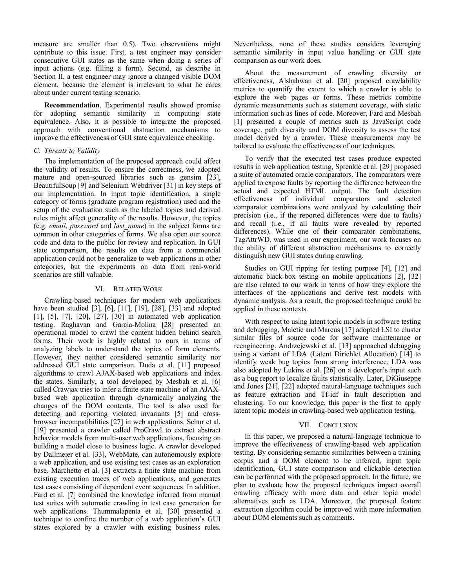measure are smaller than 0.5). Two observations might contribute to this issue. First, a test engineer may consider consecutive GUI states as the same when doing a series of input actions (e.g. filling a form). Second, as describe in Section II, a test engineer may ignore a changed visible DOM element, because the element is irrelevant to what he cares about under current testing scenario.

**Recommendation**. Experimental results showed promise for adopting semantic similarity in computing state equivalence. Also, it is possible to integrate the proposed approach with conventional abstraction mechanisms to improve the effectiveness of GUI state equivalence checking.

## *C. Threats to Validity*

The implementation of the proposed approach could affect the validity of results. To ensure the correctness, we adopted mature and open-sourced libraries such as gensim [23], BeautifulSoup [9] and Selenium Webdriver [31] in key steps of our implementation. In input topic identification, a single category of forms (graduate program registration) used and the setup of the evaluation such as the labeled topics and derived rules might affect generality of the results. However, the topics (e.g. *email*, *password* and *last\_name*) in the subject forms are common in other categories of forms. We also open our source code and data to the public for review and replication. In GUI state comparison, the results on data from a commercial application could not be generalize to web applications in other categories, but the experiments on data from real-world scenarios are still valuable.

## VI. RELATED WORK

Crawling-based techniques for modern web applications have been studied [3], [6], [11], [19], [28], [33] and adopted [1], [5], [7], [20], [27], [30] in automated web application testing. Raghavan and Garcia-Molina [28] presented an operational model to crawl the content hidden behind search forms. Their work is highly related to ours in terms of analyzing labels to understand the topics of form elements. However, they neither considered semantic similarity nor addressed GUI state comparison. Duda et al. [11] proposed algorithms to crawl AJAX-based web applications and index the states. Similarly, a tool developed by Mesbah et al. [6] called Crawjax tries to infer a finite state machine of an AJAXbased web application through dynamically analyzing the changes of the DOM contents. The tool is also used for detecting and reporting violated invariants [5] and crossbrowser incompatibilities [27] in web applications. Schur et al. [19] presented a crawler called ProCrawl to extract abstract behavior models from multi-user web applications, focusing on building a model close to business logic. A crawler developed by Dallmeier et al. [33], WebMate, can autonomously explore a web application, and use existing test cases as an exploration base. Marchetto et al. [3] extracts a finite state machine from existing execution traces of web applications, and generates test cases consisting of dependent event sequences. In addition, Fard et al. [7] combined the knowledge inferred from manual test suites with automatic crawling in test case generation for web applications. Thummalapenta et al. [30] presented a technique to confine the number of a web application's GUI states explored by a crawler with existing business rules.

Nevertheless, none of these studies considers leveraging semantic similarity in input value handling or GUI state comparison as our work does.

About the measurement of crawling diversity or effectiveness, Alshahwan et al. [20] proposed crawlability metrics to quantify the extent to which a crawler is able to explore the web pages or forms. These metrics combine dynamic measurements such as statement coverage, with static information such as lines of code. Moreover, Fard and Mesbah [1] presented a couple of metrics such as JavaScript code coverage, path diversity and DOM diversity to assess the test model derived by a crawler. These measurements may be tailored to evaluate the effectiveness of our techniques.

To verify that the executed test cases produce expected results in web application testing, Sprenkle et al. [29] proposed a suite of automated oracle comparators. The comparators were applied to expose faults by reporting the difference between the actual and expected HTML output. The fault detection effectiveness of individual comparators and selected comparator combinations were analyzed by calculating their precision (i.e., if the reported differences were due to faults) and recall (i.e., if all faults were revealed by reported differences). While one of their comparator combinations, TagAttrWD, was used in our experiment, our work focuses on the ability of different abstraction mechanisms to correctly distinguish new GUI states during crawling.

Studies on GUI ripping for testing purpose [4], [12] and automatic black-box testing on mobile applications [2], [32] are also related to our work in terms of how they explore the interfaces of the applications and derive test models with dynamic analysis. As a result, the proposed technique could be applied in these contexts.

 With respect to using latent topic models in software testing and debugging, Maletic and Marcus [17] adopted LSI to cluster similar files of source code for software maintenance or reengineering. Andrzejewski et al. [13] approached debugging using a variant of LDA (Latent Dirichlet Allocation) [14] to identify weak bug topics from strong interference. LDA was also adopted by Lukins et al. [26] on a developer's input such as a bug report to localize faults statistically. Later, DiGiuseppe and Jones [21], [22] adopted natural-language techniques such as feature extraction and Tf-idf in fault description and clustering. To our knowledge, this paper is the first to apply latent topic models in crawling-based web application testing.

# VII. CONCLUSION

 In this paper, we proposed a natural-language technique to improve the effectiveness of crawling-based web application testing. By considering semantic similarities between a training corpus and a DOM element to be inferred, input topic identification, GUI state comparison and clickable detection can be performed with the proposed approach. In the future, we plan to evaluate how the proposed techniques impact overall crawling efficacy with more data and other topic model alternatives such as LDA. Moreover, the proposed feature extraction algorithm could be improved with more information about DOM elements such as comments.